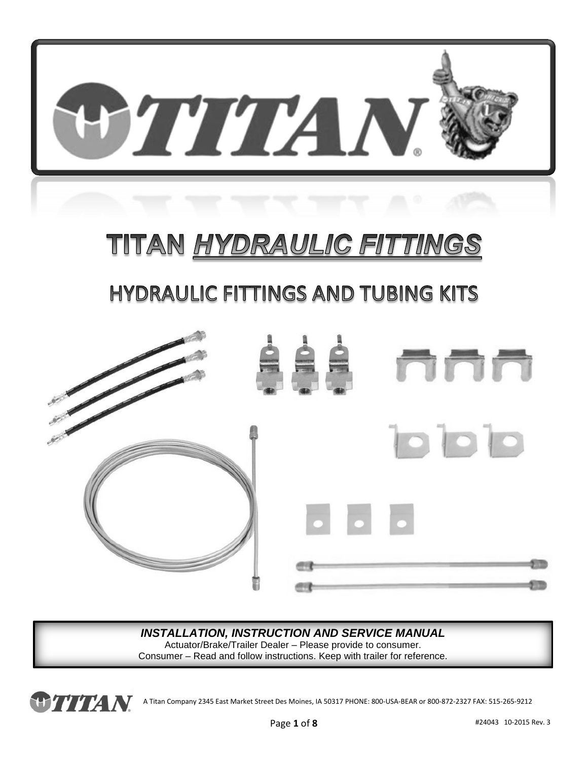

# TITAN <u>HYDRAULIC FITTINGS</u>

## **HYDRAULIC FITTINGS AND TUBING KITS**



#### *INSTALLATION, INSTRUCTION AND SERVICE MANUAL*

Actuator/Brake/Trailer Dealer – Please provide to consumer. Consumer – Read and follow instructions. Keep with trailer for reference.

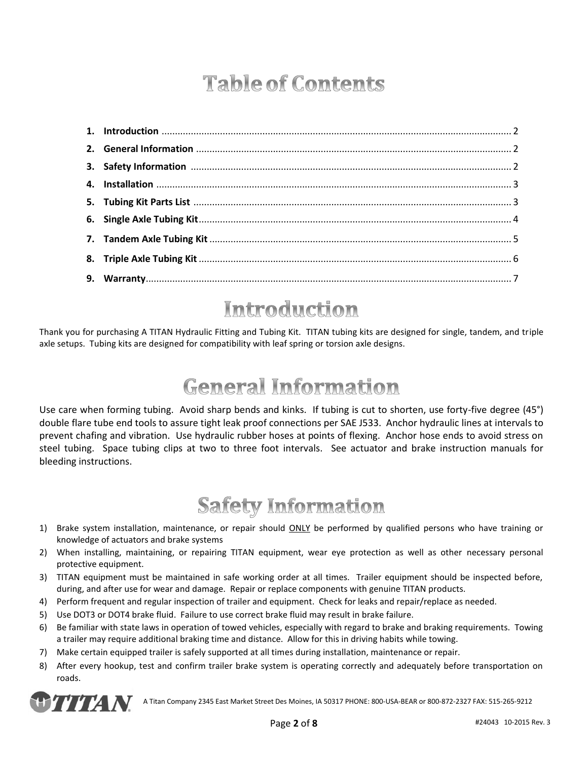## **Table of Contents**

#### Introduction

Thank you for purchasing A TITAN Hydraulic Fitting and Tubing Kit. TITAN tubing kits are designed for single, tandem, and triple axle setups. Tubing kits are designed for compatibility with leaf spring or torsion axle designs.

#### **General Information**

Use care when forming tubing. Avoid sharp bends and kinks. If tubing is cut to shorten, use forty-five degree (45°) double flare tube end tools to assure tight leak proof connections per SAE J533. Anchor hydraulic lines at intervals to prevent chafing and vibration. Use hydraulic rubber hoses at points of flexing. Anchor hose ends to avoid stress on steel tubing. Space tubing clips at two to three foot intervals. See actuator and brake instruction manuals for bleeding instructions.

### **Safety Information**

- 1) Brake system installation, maintenance, or repair should ONLY be performed by qualified persons who have training or knowledge of actuators and brake systems
- 2) When installing, maintaining, or repairing TITAN equipment, wear eye protection as well as other necessary personal protective equipment.
- 3) TITAN equipment must be maintained in safe working order at all times. Trailer equipment should be inspected before, during, and after use for wear and damage. Repair or replace components with genuine TITAN products.
- 4) Perform frequent and regular inspection of trailer and equipment. Check for leaks and repair/replace as needed.
- 5) Use DOT3 or DOT4 brake fluid. Failure to use correct brake fluid may result in brake failure.
- 6) Be familiar with state laws in operation of towed vehicles, especially with regard to brake and braking requirements. Towing a trailer may require additional braking time and distance. Allow for this in driving habits while towing.
- 7) Make certain equipped trailer is safely supported at all times during installation, maintenance or repair.
- 8) After every hookup, test and confirm trailer brake system is operating correctly and adequately before transportation on roads.

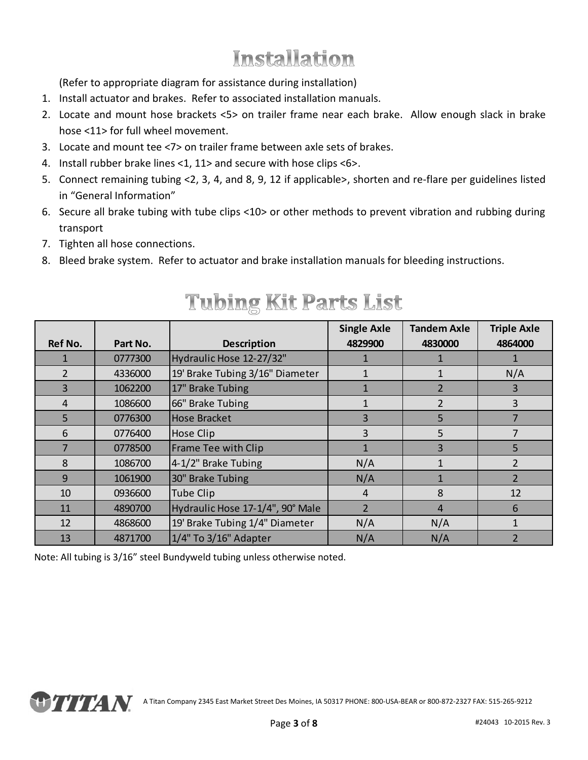### Installation

(Refer to appropriate diagram for assistance during installation)

- 1. Install actuator and brakes. Refer to associated installation manuals.
- 2. Locate and mount hose brackets <5> on trailer frame near each brake. Allow enough slack in brake hose <11> for full wheel movement.
- 3. Locate and mount tee <7> on trailer frame between axle sets of brakes.
- 4. Install rubber brake lines <1, 11> and secure with hose clips <6>.
- 5. Connect remaining tubing <2, 3, 4, and 8, 9, 12 if applicable>, shorten and re-flare per guidelines listed in "General Information"
- 6. Secure all brake tubing with tube clips <10> or other methods to prevent vibration and rubbing during transport
- 7. Tighten all hose connections.
- 8. Bleed brake system. Refer to actuator and brake installation manuals for bleeding instructions.

|                |          |                                  | <b>Single Axle</b> | <b>Tandem Axle</b> | <b>Triple Axle</b> |
|----------------|----------|----------------------------------|--------------------|--------------------|--------------------|
| <b>Ref No.</b> | Part No. | <b>Description</b>               | 4829900            | 4830000            | 4864000            |
|                | 0777300  | Hydraulic Hose 12-27/32"         |                    |                    |                    |
| 2              | 4336000  | 19' Brake Tubing 3/16" Diameter  |                    |                    | N/A                |
| 3              | 1062200  | 17" Brake Tubing                 |                    | $\mathcal{P}$      | 3                  |
| 4              | 1086600  | 66" Brake Tubing                 |                    | 2                  | 3                  |
| 5              | 0776300  | <b>Hose Bracket</b>              | 3                  | 5                  |                    |
| 6              | 0776400  | Hose Clip                        | 3                  | 5                  |                    |
| 7              | 0778500  | Frame Tee with Clip              |                    | 3                  | 5                  |
| 8              | 1086700  | 4-1/2" Brake Tubing              | N/A                | 1                  | 2                  |
| 9              | 1061900  | 30" Brake Tubing                 | N/A                | 1                  | $\mathcal{P}$      |
| 10             | 0936600  | Tube Clip                        | 4                  | 8                  | 12                 |
| 11             | 4890700  | Hydraulic Hose 17-1/4", 90° Male | $\overline{2}$     | $\overline{4}$     | 6                  |
| 12             | 4868600  | 19' Brake Tubing 1/4" Diameter   | N/A                | N/A                |                    |
| 13             | 4871700  | 1/4" To 3/16" Adapter            | N/A                | N/A                | $\mathcal{P}$      |

#### **Tubing Kit Parts List**

Note: All tubing is 3/16" steel Bundyweld tubing unless otherwise noted.

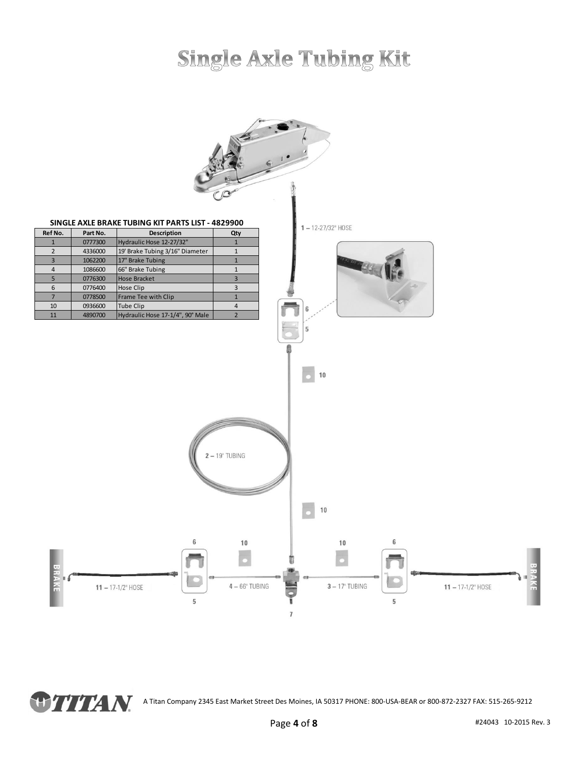## **Single Axle Tubing Kit**



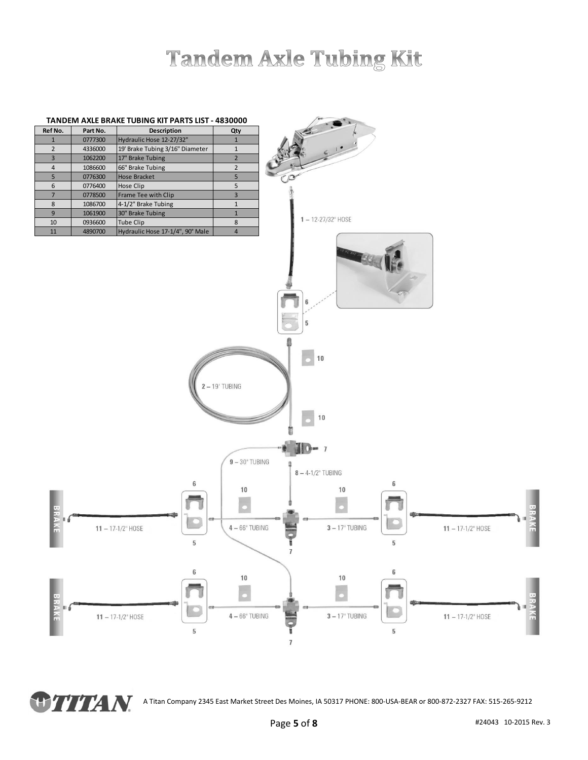## **Tandem Axle Tubing Kit**



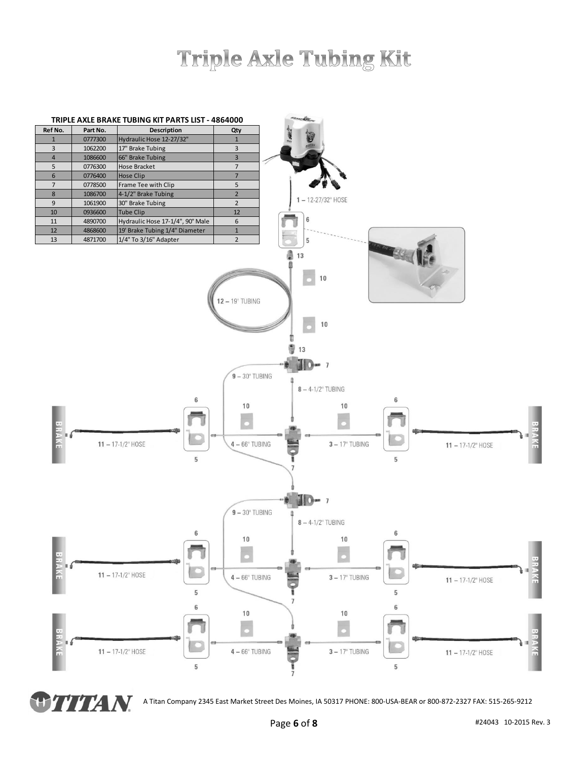## Triple Axle Tubing Kit



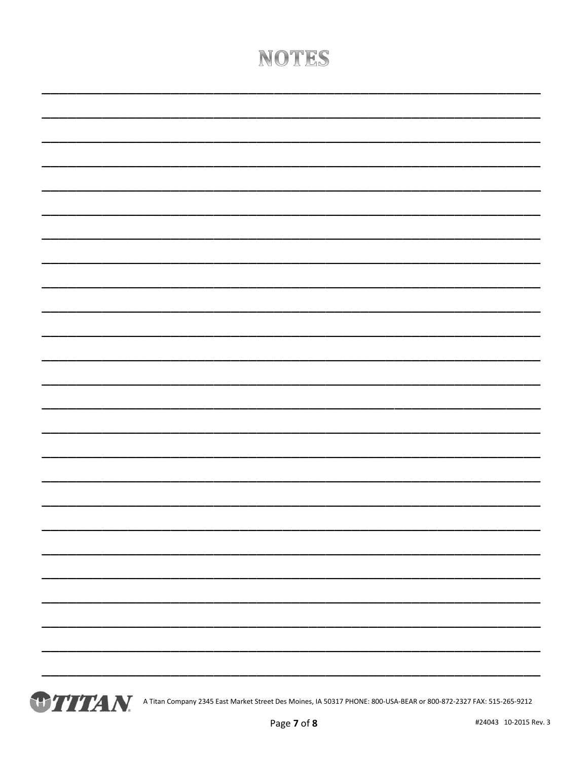### NOTES